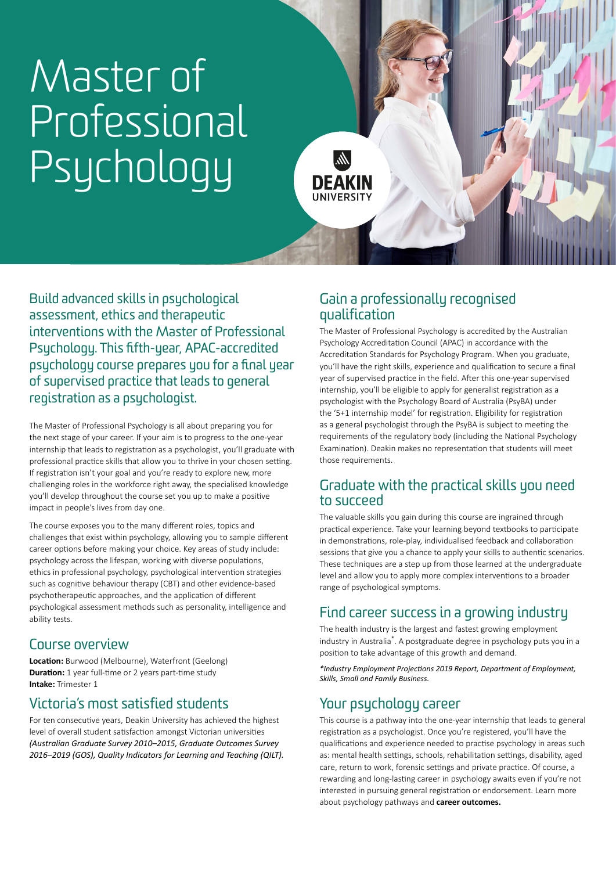# Master of Professional Psychology

**DEAKIN UNIVERSIT** 

lir.

Build advanced skills in psychological assessment, ethics and therapeutic interventions with the Master of Professional Psychology. This fifth-year, APAC-accredited psychology course prepares you for a final year of supervised practice that leads to general registration as a psychologist.

The Master of Professional Psychology is all about preparing you for the next stage of your career. If your aim is to progress to the one-year internship that leads to registration as a psychologist, you'll graduate with professional practice skills that allow you to thrive in your chosen setting. If registration isn't your goal and you're ready to explore new, more challenging roles in the workforce right away, the specialised knowledge you'll develop throughout the course set you up to make a positive impact in people's lives from day one.

The course exposes you to the many different roles, topics and challenges that exist within psychology, allowing you to sample different career options before making your choice. Key areas of study include: psychology across the lifespan, working with diverse populations, ethics in professional psychology, psychological intervention strategies such as cognitive behaviour therapy (CBT) and other evidence-based psychotherapeutic approaches, and the application of different psychological assessment methods such as personality, intelligence and ability tests.

## Course overview

**Location:** Burwood (Melbourne), Waterfront (Geelong) **Duration:** 1 year full-time or 2 years part-time study **Intake:** Trimester 1

# Victoria's most satisfied students

For ten consecutive years, Deakin University has achieved the highest level of overall student satisfaction amongst Victorian universities *(Australian Graduate Survey 2010–2015, Graduate Outcomes Survey 2016–2019 (GOS), Quality Indicators for Learning and Teaching (QILT).*

## Gain a professionally recognised qualification

The Master of Professional Psychology is accredited by the Australian Psychology Accreditation Council (APAC) in accordance with the Accreditation Standards for Psychology Program. When you graduate, you'll have the right skills, experience and qualification to secure a final year of supervised practice in the field. After this one-year supervised internship, you'll be eligible to apply for generalist registration as a psychologist with the Psychology Board of Australia (PsyBA) under the '5+1 internship model' for registration. Eligibility for registration as a general psychologist through the PsyBA is subject to meeting the requirements of the regulatory body (including the National Psychology Examination). Deakin makes no representation that students will meet those requirements.

### Graduate with the practical skills you need to succeed

The valuable skills you gain during this course are ingrained through practical experience. Take your learning beyond textbooks to participate in demonstrations, role-play, individualised feedback and collaboration sessions that give you a chance to apply your skills to authentic scenarios. These techniques are a step up from those learned at the undergraduate level and allow you to apply more complex interventions to a broader range of psychological symptoms.

# Find career success in a growing industry

The health industry is the largest and fastest growing employment industry in Australia\*. A postgraduate degree in psychology puts you in a position to take advantage of this growth and demand.

*\*Industry Employment Projections 2019 Report, Department of Employment, Skills, Small and Family Business.*

# Your psychology career

This course is a pathway into the one-year internship that leads to general registration as a psychologist. Once you're registered, you'll have the qualifications and experience needed to practise psychology in areas such as: mental health settings, schools, rehabilitation settings, disability, aged care, return to work, forensic settings and private practice. Of course, a rewarding and long-lasting career in psychology awaits even if you're not interested in pursuing general registration or endorsement. Learn more about psychology pathways and **[career outcomes.](https://www.deakin.edu.au/psychology/psychology-careers)**